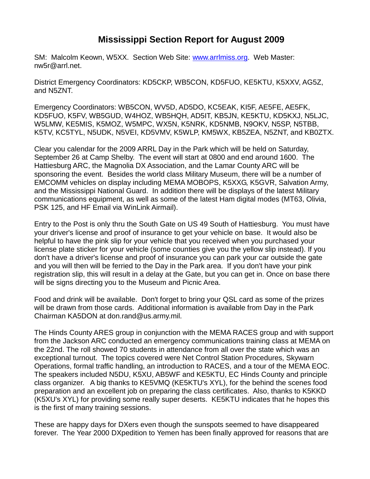## **Mississippi Section Report for August 2009**

SM: Malcolm Keown, W5XX. Section Web Site: [www.arrlmiss.org.](http://www.arrlmiss.org/) Web Master: nw5r@arrl.net.

District Emergency Coordinators: KD5CKP, WB5CON, KD5FUO, KE5KTU, K5XXV, AG5Z, and N5ZNT.

Emergency Coordinators: WB5CON, WV5D, AD5DO, KC5EAK, KI5F, AE5FE, AE5FK, KD5FUO, K5FV, WB5GUD, W4HOZ, WB5HQH, AD5IT, KB5JN, KE5KTU, KD5KXJ, N5LJC, W5LMW, KE5MIS, K5MOZ, W5MPC, WX5N, K5NRK, KD5NMB, N9OKV, N5SP, N5TBB, K5TV, KC5TYL, N5UDK, N5VEI, KD5VMV, K5WLP, KM5WX, KB5ZEA, N5ZNT, and KB0ZTX.

Clear you calendar for the 2009 ARRL Day in the Park which will be held on Saturday, September 26 at Camp Shelby. The event will start at 0800 and end around 1600. The Hattiesburg ARC, the Magnolia DX Association, and the Lamar County ARC will be sponsoring the event. Besides the world class Military Museum, there will be a number of EMCOMM vehicles on display including MEMA MOBOPS, K5XXG, K5GVR, Salvation Army, and the Mississippi National Guard. In addition there will be displays of the latest Military communications equipment, as well as some of the latest Ham digital modes (MT63, Olivia, PSK 125, and HF Email via WinLink Airmail).

Entry to the Post is only thru the South Gate on US 49 South of Hattiesburg. You must have your driver's license and proof of insurance to get your vehicle on base. It would also be helpful to have the pink slip for your vehicle that you received when you purchased your license plate sticker for your vehicle (some counties give you the yellow slip instead). If you don't have a driver's license and proof of insurance you can park your car outside the gate and you will then will be ferried to the Day in the Park area. If you don't have your pink registration slip, this will result in a delay at the Gate, but you can get in. Once on base there will be signs directing you to the Museum and Picnic Area.

Food and drink will be available. Don't forget to bring your QSL card as some of the prizes will be drawn from those cards. Additional information is available from Day in the Park Chairman KA5DON at don.rand@us.army.mil.

The Hinds County ARES group in conjunction with the MEMA RACES group and with support from the Jackson ARC conducted an emergency communications training class at MEMA on the 22nd. The roll showed 70 students in attendance from all over the state which was an exceptional turnout. The topics covered were Net Control Station Procedures, Skywarn Operations, formal traffic handling, an introduction to RACES, and a tour of the MEMA EOC. The speakers included N5DU, K5XU, AB5WF and KE5KTU, EC Hinds County and principle class organizer. A big thanks to KE5VMQ (KE5KTU's XYL), for the behind the scenes food preparation and an excellent job on preparing the class certificates. Also, thanks to K5KKD (K5XU's XYL) for providing some really super deserts. KE5KTU indicates that he hopes this is the first of many training sessions.

These are happy days for DXers even though the sunspots seemed to have disappeared forever. The Year 2000 DXpedition to Yemen has been finally approved for reasons that are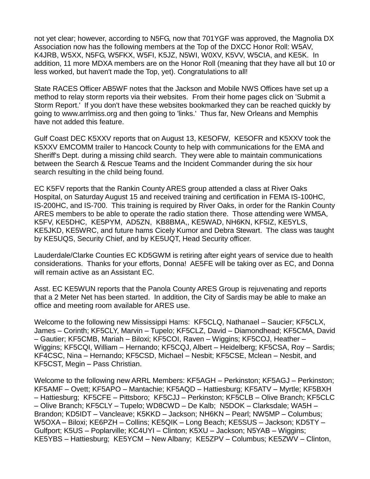not yet clear; however, according to N5FG, now that 701YGF was approved, the Magnolia DX Association now has the following members at the Top of the DXCC Honor Roll: W5AV, K4JRB, W5XX, N5FG, W5FKX, W5FI, K5JZ, N5WI, W0XV, K5VV, W5CIA, and KE5K. In addition, 11 more MDXA members are on the Honor Roll (meaning that they have all but 10 or less worked, but haven't made the Top, yet). Congratulations to all!

State RACES Officer AB5WF notes that the Jackson and Mobile NWS Offices have set up a method to relay storm reports via their websites. From their home pages click on 'Submit a Storm Report.' If you don't have these websites bookmarked they can be reached quickly by going to www.arrlmiss.org and then going to 'links.' Thus far, New Orleans and Memphis have not added this feature.

Gulf Coast DEC K5XXV reports that on August 13, KE5OFW, KE5OFR and K5XXV took the K5XXV EMCOMM trailer to Hancock County to help with communications for the EMA and Sheriff's Dept. during a missing child search. They were able to maintain communications between the Search & Rescue Teams and the Incident Commander during the six hour search resulting in the child being found.

EC K5FV reports that the Rankin County ARES group attended a class at River Oaks Hospital, on Saturday August 15 and received training and certification in FEMA IS-100HC, IS-200HC, and IS-700. This training is required by River Oaks, in order for the Rankin County ARES members to be able to operate the radio station there. Those attending were WM5A, K5FV, KE5DHC, KE5PYM, AD5ZN, KB8BMA,, KE5WAD, NH6KN, KF5IZ, KE5YLS, KE5JKD, KE5WRC, and future hams Cicely Kumor and Debra Stewart. The class was taught by KE5UQS, Security Chief, and by KE5UQT, Head Security officer.

Lauderdale/Clarke Counties EC KD5GWM is retiring after eight years of service due to health considerations. Thanks for your efforts, Donna! AE5FE will be taking over as EC, and Donna will remain active as an Assistant EC.

Asst. EC KE5WUN reports that the Panola County ARES Group is rejuvenating and reports that a 2 Meter Net has been started. In addition, the City of Sardis may be able to make an office and meeting room available for ARES use.

Welcome to the following new Mississippi Hams: KF5CLQ, Nathanael – Saucier; KF5CLX, James – Corinth; KF5CLY, Marvin – Tupelo; KF5CLZ, David – Diamondhead; KF5CMA, David – Gautier; KF5CMB, Mariah – Biloxi; KF5COI, Raven – Wiggins; KF5COJ, Heather – Wiggins; KF5CQI, William – Hernando; KF5CQJ, Albert – Heidelberg; KF5CSA, Roy – Sardis; KF4CSC, Nina – Hernando; KF5CSD, Michael – Nesbit; KF5CSE, Mclean – Nesbit, and KF5CST, Megin – Pass Christian.

Welcome to the following new ARRL Members: KF5AGH – Perkinston; KF5AGJ – Perkinston; KF5AMF – Ovett; KF5APO – Mantachie; KF5AQD – Hattiesburg; KF5ATV – Myrtle; KF5BXH – Hattiesburg; KF5CFE – Pittsboro; KF5CJJ – Perkinston; KF5CLB – Olive Branch; KF5CLC – Olive Branch; KF5CLY – Tupelo; WD8CWD – De Kalb; N5DOK – Clarksdale; WA5H – Brandon; KD5IDT – Vancleave; K5KKD – Jackson; NH6KN – Pearl; NW5MP – Columbus; W5OXA – Biloxi; KE6PZH – Collins; KE5QIK – Long Beach; KE5SUS – Jackson; KD5TY – Gulfport; K5US – Poplarville; KC4UYI – Clinton; K5XU – Jackson; N5YAB – Wiggins; KE5YBS – Hattiesburg; KE5YCM – New Albany; KE5ZPV – Columbus; KE5ZWV – Clinton,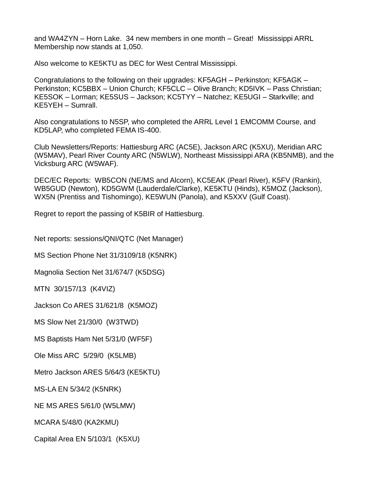and WA4ZYN – Horn Lake. 34 new members in one month – Great! Mississippi ARRL Membership now stands at 1,050.

Also welcome to KE5KTU as DEC for West Central Mississippi.

Congratulations to the following on their upgrades: KF5AGH – Perkinston; KF5AGK – Perkinston; KC5BBX – Union Church; KF5CLC – Olive Branch; KD5IVK – Pass Christian; KE5SOK – Lorman; KE5SUS – Jackson; KC5TYY – Natchez; KE5UGI – Starkville; and KE5YEH – Sumrall.

Also congratulations to N5SP, who completed the ARRL Level 1 EMCOMM Course, and KD5LAP, who completed FEMA IS-400.

Club Newsletters/Reports: Hattiesburg ARC (AC5E), Jackson ARC (K5XU), Meridian ARC (W5MAV), Pearl River County ARC (N5WLW), Northeast Mississippi ARA (KB5NMB), and the Vicksburg ARC (W5WAF).

DEC/EC Reports: WB5CON (NE/MS and Alcorn), KC5EAK (Pearl River), K5FV (Rankin), WB5GUD (Newton), KD5GWM (Lauderdale/Clarke), KE5KTU (Hinds), K5MOZ (Jackson), WX5N (Prentiss and Tishomingo), KE5WUN (Panola), and K5XXV (Gulf Coast).

Regret to report the passing of K5BIR of Hattiesburg.

Net reports: sessions/QNI/QTC (Net Manager)

MS Section Phone Net 31/3109/18 (K5NRK)

Magnolia Section Net 31/674/7 (K5DSG)

MTN 30/157/13 (K4VIZ)

Jackson Co ARES 31/621/8 (K5MOZ)

MS Slow Net 21/30/0 (W3TWD)

MS Baptists Ham Net 5/31/0 (WF5F)

Ole Miss ARC 5/29/0 (K5LMB)

Metro Jackson ARES 5/64/3 (KE5KTU)

MS-LA EN 5/34/2 (K5NRK)

NE MS ARES 5/61/0 (W5LMW)

MCARA 5/48/0 (KA2KMU)

Capital Area EN 5/103/1 (K5XU)